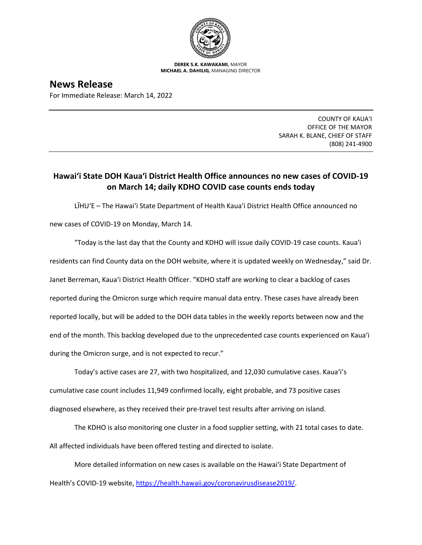

**DEREK S.K. KAWAKAMI,** MAYOR **MICHAEL A. DAHILIG,** MANAGING DIRECTOR

**News Release** For Immediate Release: March 14, 2022

> COUNTY OF KAUA'I OFFICE OF THE MAYOR SARAH K. BLANE, CHIEF OF STAFF (808) 241-4900

## **Hawai'i State DOH Kaua'i District Health Office announces no new cases of COVID-19 on March 14; daily KDHO COVID case counts ends today**

LĪHU'E – The Hawai'i State Department of Health Kaua'i District Health Office announced no new cases of COVID-19 on Monday, March 14.

"Today is the last day that the County and KDHO will issue daily COVID-19 case counts. Kaua'i residents can find County data on the DOH website, where it is updated weekly on Wednesday," said Dr. Janet Berreman, Kaua'i District Health Officer. "KDHO staff are working to clear a backlog of cases reported during the Omicron surge which require manual data entry. These cases have already been reported locally, but will be added to the DOH data tables in the weekly reports between now and the end of the month. This backlog developed due to the unprecedented case counts experienced on Kaua'i during the Omicron surge, and is not expected to recur."

Today's active cases are 27, with two hospitalized, and 12,030 cumulative cases. Kaua'i's cumulative case count includes 11,949 confirmed locally, eight probable, and 73 positive cases diagnosed elsewhere, as they received their pre-travel test results after arriving on island.

The KDHO is also monitoring one cluster in a food supplier setting, with 21 total cases to date. All affected individuals have been offered testing and directed to isolate.

More detailed information on new cases is available on the Hawai'i State Department of Health's COVID-19 website, [https://health.hawaii.gov/coronavirusdisease2019/.](https://health.hawaii.gov/coronavirusdisease2019/)